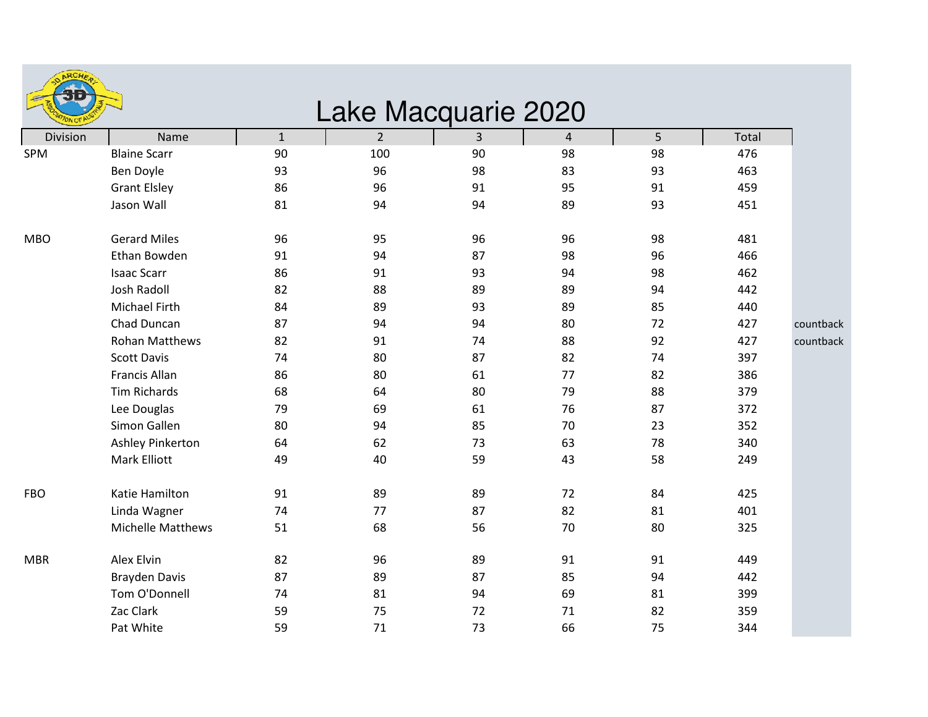| ARCHE.    |
|-----------|
|           |
|           |
| ON OF AUS |

## Lake Macquarie 2020

| Division   | Name                     | $\mathbf{1}$ | $2^{\circ}$ | 3  | $\overline{4}$ | 5  | Total |           |
|------------|--------------------------|--------------|-------------|----|----------------|----|-------|-----------|
| SPM        | <b>Blaine Scarr</b>      | 90           | 100         | 90 | 98             | 98 | 476   |           |
|            | Ben Doyle                | 93           | 96          | 98 | 83             | 93 | 463   |           |
|            | <b>Grant Elsley</b>      | 86           | 96          | 91 | 95             | 91 | 459   |           |
|            | Jason Wall               | 81           | 94          | 94 | 89             | 93 | 451   |           |
| <b>MBO</b> | <b>Gerard Miles</b>      | 96           | 95          | 96 | 96             | 98 | 481   |           |
|            | Ethan Bowden             | 91           | 94          | 87 | 98             | 96 | 466   |           |
|            | <b>Isaac Scarr</b>       | 86           | 91          | 93 | 94             | 98 | 462   |           |
|            | <b>Josh Radoll</b>       | 82           | 88          | 89 | 89             | 94 | 442   |           |
|            | <b>Michael Firth</b>     | 84           | 89          | 93 | 89             | 85 | 440   |           |
|            | Chad Duncan              | 87           | 94          | 94 | 80             | 72 | 427   | countback |
|            | <b>Rohan Matthews</b>    | 82           | 91          | 74 | 88             | 92 | 427   | countback |
|            | <b>Scott Davis</b>       | 74           | 80          | 87 | 82             | 74 | 397   |           |
|            | Francis Allan            | 86           | 80          | 61 | 77             | 82 | 386   |           |
|            | <b>Tim Richards</b>      | 68           | 64          | 80 | 79             | 88 | 379   |           |
|            | Lee Douglas              | 79           | 69          | 61 | 76             | 87 | 372   |           |
|            | Simon Gallen             | 80           | 94          | 85 | 70             | 23 | 352   |           |
|            | Ashley Pinkerton         | 64           | 62          | 73 | 63             | 78 | 340   |           |
|            | Mark Elliott             | 49           | 40          | 59 | 43             | 58 | 249   |           |
| <b>FBO</b> | Katie Hamilton           | 91           | 89          | 89 | 72             | 84 | 425   |           |
|            | Linda Wagner             | 74           | 77          | 87 | 82             | 81 | 401   |           |
|            | <b>Michelle Matthews</b> | 51           | 68          | 56 | 70             | 80 | 325   |           |
| <b>MBR</b> | Alex Elvin               | 82           | 96          | 89 | 91             | 91 | 449   |           |
|            | <b>Brayden Davis</b>     | 87           | 89          | 87 | 85             | 94 | 442   |           |
|            | Tom O'Donnell            | 74           | 81          | 94 | 69             | 81 | 399   |           |
|            | Zac Clark                | 59           | 75          | 72 | $71\,$         | 82 | 359   |           |
|            | Pat White                | 59           | 71          | 73 | 66             | 75 | 344   |           |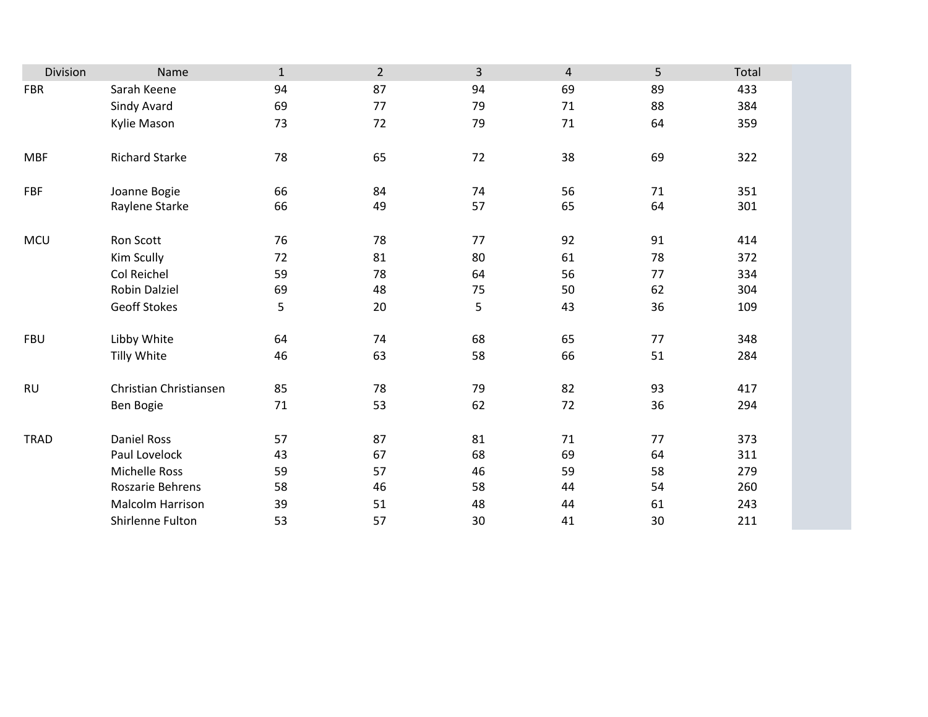| Division    | Name                    | $\mathbf{1}$ | $\overline{2}$ | 3  | $\overline{4}$ | 5  | Total |
|-------------|-------------------------|--------------|----------------|----|----------------|----|-------|
| <b>FBR</b>  | Sarah Keene             | 94           | 87             | 94 | 69             | 89 | 433   |
|             | Sindy Avard             | 69           | 77             | 79 | $71\,$         | 88 | 384   |
|             | Kylie Mason             | 73           | 72             | 79 | 71             | 64 | 359   |
|             |                         |              |                |    |                |    |       |
| <b>MBF</b>  | <b>Richard Starke</b>   | 78           | 65             | 72 | 38             | 69 | 322   |
|             |                         |              |                |    |                |    |       |
| FBF         | Joanne Bogie            | 66           | 84             | 74 | 56             | 71 | 351   |
|             | Raylene Starke          | 66           | 49             | 57 | 65             | 64 | 301   |
|             |                         |              |                |    |                |    |       |
| MCU         | Ron Scott               | 76           | 78             | 77 | 92             | 91 | 414   |
|             | Kim Scully              | 72           | 81             | 80 | 61             | 78 | 372   |
|             | Col Reichel             | 59           | 78             | 64 | 56             | 77 | 334   |
|             | Robin Dalziel           | 69           | 48             | 75 | 50             | 62 | 304   |
|             | <b>Geoff Stokes</b>     | 5            | 20             | 5  | 43             | 36 | 109   |
|             |                         |              |                |    |                |    |       |
| <b>FBU</b>  | Libby White             | 64           | 74             | 68 | 65             | 77 | 348   |
|             | Tilly White             | 46           | 63             | 58 | 66             | 51 | 284   |
| <b>RU</b>   | Christian Christiansen  | 85           | 78             | 79 | 82             | 93 | 417   |
|             | Ben Bogie               | 71           | 53             | 62 | 72             | 36 | 294   |
|             |                         |              |                |    |                |    |       |
| <b>TRAD</b> | <b>Daniel Ross</b>      | 57           | 87             | 81 | 71             | 77 | 373   |
|             | Paul Lovelock           | 43           | 67             | 68 | 69             | 64 | 311   |
|             | <b>Michelle Ross</b>    | 59           | 57             | 46 | 59             | 58 | 279   |
|             | Roszarie Behrens        | 58           | 46             | 58 | 44             | 54 | 260   |
|             | <b>Malcolm Harrison</b> | 39           | 51             | 48 | 44             | 61 | 243   |
|             | Shirlenne Fulton        | 53           | 57             | 30 | 41             | 30 | 211   |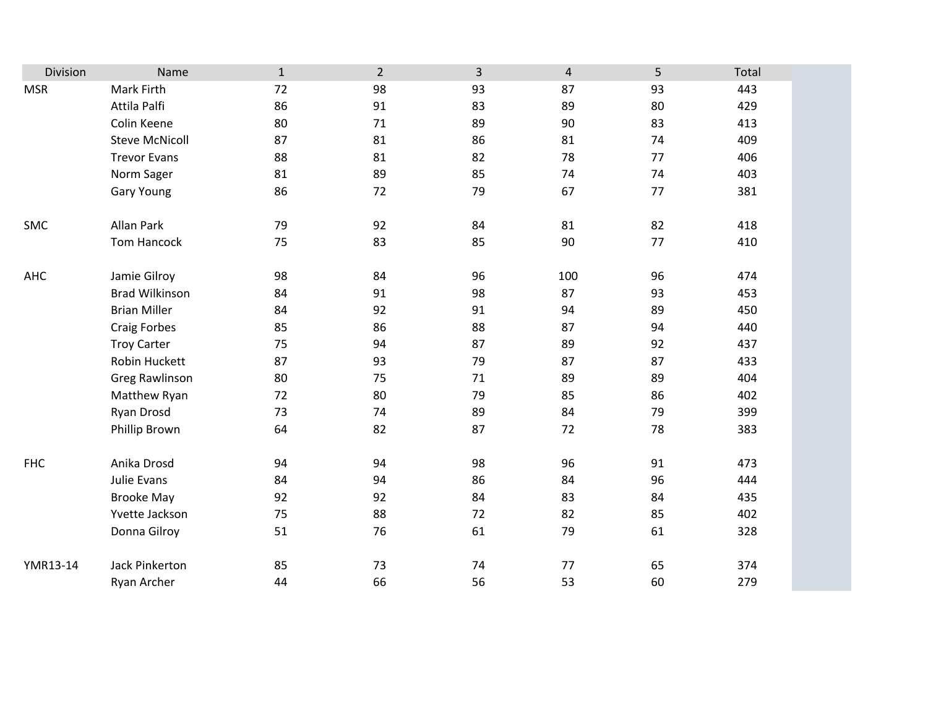| Division   | Name                  | $\mathbf{1}$ | $\overline{2}$ | 3  | $\overline{4}$ | 5       | Total |
|------------|-----------------------|--------------|----------------|----|----------------|---------|-------|
| <b>MSR</b> | Mark Firth            | 72           | 98             | 93 | 87             | 93      | 443   |
|            | Attila Palfi          | 86           | 91             | 83 | 89             | 80      | 429   |
|            | Colin Keene           | 80           | 71             | 89 | 90             | 83      | 413   |
|            | <b>Steve McNicoll</b> | 87           | 81             | 86 | 81             | 74      | 409   |
|            | <b>Trevor Evans</b>   | 88           | 81             | 82 | 78             | 77      | 406   |
|            | Norm Sager            | 81           | 89             | 85 | 74             | 74      | 403   |
|            | <b>Gary Young</b>     | 86           | 72             | 79 | 67             | $77 \,$ | 381   |
| SMC        | Allan Park            | 79           | 92             | 84 | 81             | 82      | 418   |
|            | Tom Hancock           | 75           | 83             | 85 | 90             | 77      | 410   |
| AHC        | Jamie Gilroy          | 98           | 84             | 96 | 100            | 96      | 474   |
|            | <b>Brad Wilkinson</b> | 84           | 91             | 98 | 87             | 93      | 453   |
|            | <b>Brian Miller</b>   | 84           | 92             | 91 | 94             | 89      | 450   |
|            | <b>Craig Forbes</b>   | 85           | 86             | 88 | 87             | 94      | 440   |
|            | <b>Troy Carter</b>    | 75           | 94             | 87 | 89             | 92      | 437   |
|            | Robin Huckett         | 87           | 93             | 79 | 87             | 87      | 433   |
|            | <b>Greg Rawlinson</b> | 80           | 75             | 71 | 89             | 89      | 404   |
|            | Matthew Ryan          | 72           | 80             | 79 | 85             | 86      | 402   |
|            | Ryan Drosd            | 73           | 74             | 89 | 84             | 79      | 399   |
|            | Phillip Brown         | 64           | 82             | 87 | 72             | 78      | 383   |
| <b>FHC</b> | Anika Drosd           | 94           | 94             | 98 | 96             | 91      | 473   |
|            | Julie Evans           | 84           | 94             | 86 | 84             | 96      | 444   |
|            | <b>Brooke May</b>     | 92           | 92             | 84 | 83             | 84      | 435   |
|            | Yvette Jackson        | 75           | 88             | 72 | 82             | 85      | 402   |
|            | Donna Gilroy          | 51           | 76             | 61 | 79             | 61      | 328   |
| YMR13-14   | Jack Pinkerton        | 85           | 73             | 74 | 77             | 65      | 374   |
|            | Ryan Archer           | 44           | 66             | 56 | 53             | 60      | 279   |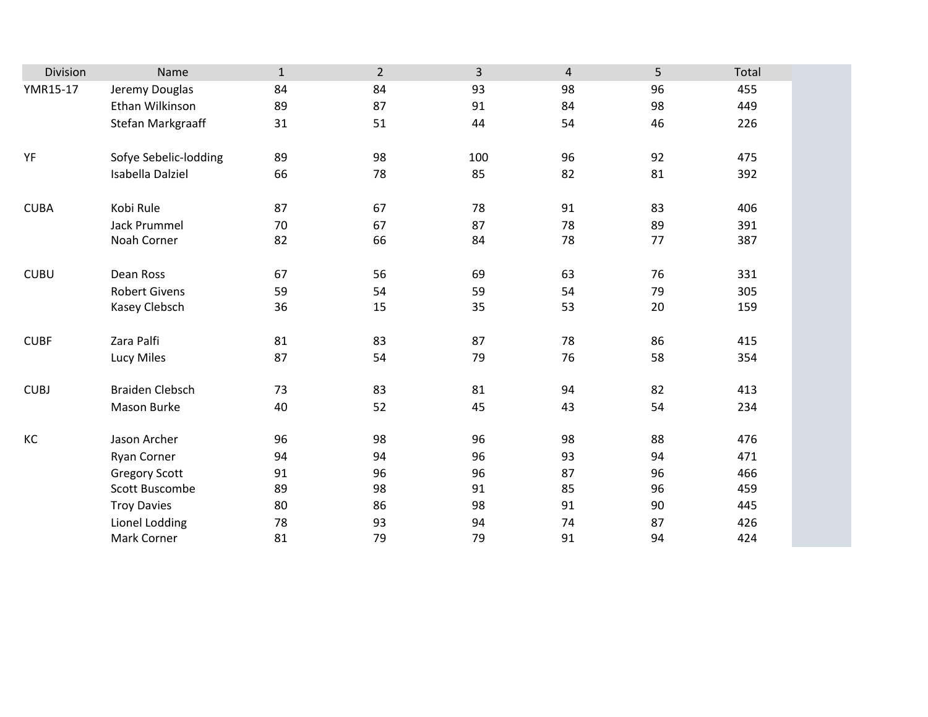| Division    | Name                   | $\mathbf{1}$ | $\overline{2}$ | $\overline{3}$ | $\overline{4}$ | 5  | Total |
|-------------|------------------------|--------------|----------------|----------------|----------------|----|-------|
| YMR15-17    | Jeremy Douglas         | 84           | 84             | 93             | 98             | 96 | 455   |
|             | Ethan Wilkinson        | 89           | 87             | 91             | 84             | 98 | 449   |
|             | Stefan Markgraaff      | 31           | 51             | 44             | 54             | 46 | 226   |
|             |                        |              |                |                |                |    |       |
| YF          | Sofye Sebelic-lodding  | 89           | 98             | 100            | 96             | 92 | 475   |
|             | Isabella Dalziel       | 66           | 78             | 85             | 82             | 81 | 392   |
|             |                        |              |                |                |                |    |       |
| <b>CUBA</b> | Kobi Rule              | 87           | 67             | 78             | 91             | 83 | 406   |
|             | <b>Jack Prummel</b>    | 70           | 67             | 87             | 78             | 89 | 391   |
|             | Noah Corner            | 82           | 66             | 84             | 78             | 77 | 387   |
|             |                        |              |                |                |                |    |       |
| <b>CUBU</b> | Dean Ross              | 67           | 56             | 69             | 63             | 76 | 331   |
|             | <b>Robert Givens</b>   | 59           | 54             | 59             | 54             | 79 | 305   |
|             | Kasey Clebsch          | 36           | 15             | 35             | 53             | 20 | 159   |
|             |                        |              |                |                |                |    |       |
| <b>CUBF</b> | Zara Palfi             | 81           | 83             | 87             | 78             | 86 | 415   |
|             | Lucy Miles             | 87           | 54             | 79             | 76             | 58 | 354   |
|             |                        |              |                |                |                |    |       |
| <b>CUBJ</b> | <b>Braiden Clebsch</b> | 73           | 83             | 81             | 94             | 82 | 413   |
|             | Mason Burke            | 40           | 52             | 45             | 43             | 54 | 234   |
|             |                        |              |                |                |                |    |       |
| KC          | Jason Archer           | 96           | 98             | 96             | 98             | 88 | 476   |
|             | Ryan Corner            | 94           | 94             | 96             | 93             | 94 | 471   |
|             | <b>Gregory Scott</b>   | 91           | 96             | 96             | 87             | 96 | 466   |
|             | Scott Buscombe         | 89           | 98             | 91             | 85             | 96 | 459   |
|             | <b>Troy Davies</b>     | 80           | 86             | 98             | 91             | 90 | 445   |
|             | Lionel Lodding         | 78           | 93             | 94             | 74             | 87 | 426   |
|             | Mark Corner            | 81           | 79             | 79             | 91             | 94 | 424   |